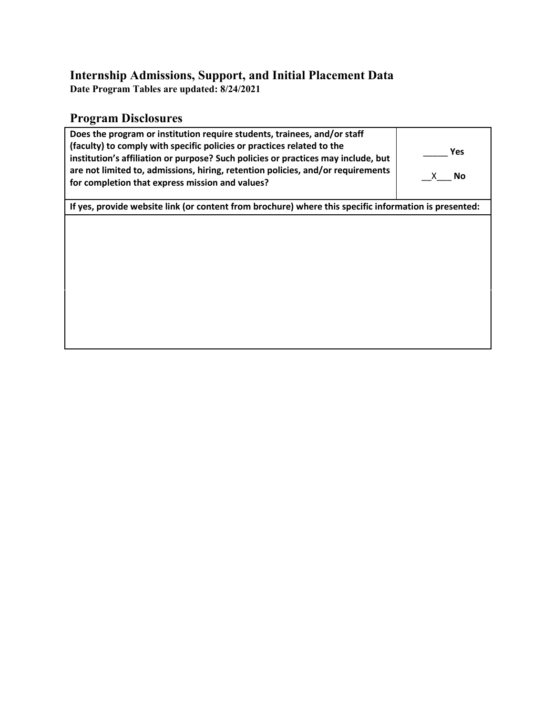### **Internship Admissions, Support, and Initial Placement Data**

**Date Program Tables are updated: 8/24/2021**

# **Program Disclosures**

| Does the program or institution require students, trainees, and/or staff<br>(faculty) to comply with specific policies or practices related to the<br>institution's affiliation or purpose? Such policies or practices may include, but<br>are not limited to, admissions, hiring, retention policies, and/or requirements<br>for completion that express mission and values? | <b>Yes</b><br><b>No</b><br>X. |  |  |  |  |
|-------------------------------------------------------------------------------------------------------------------------------------------------------------------------------------------------------------------------------------------------------------------------------------------------------------------------------------------------------------------------------|-------------------------------|--|--|--|--|
| If yes, provide website link (or content from brochure) where this specific information is presented:                                                                                                                                                                                                                                                                         |                               |  |  |  |  |
|                                                                                                                                                                                                                                                                                                                                                                               |                               |  |  |  |  |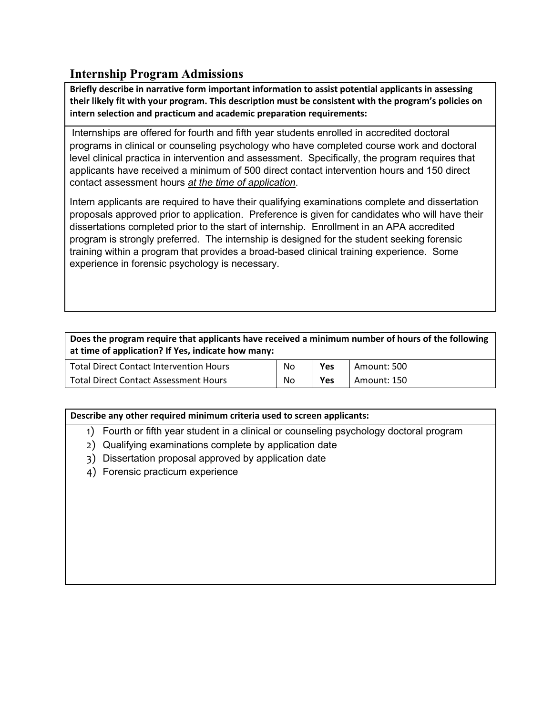## **Internship Program Admissions**

**Briefly describe in narrative form important information to assist potential applicants in assessing their likely fit with your program. This description must be consistent with the program's policies on intern selection and practicum and academic preparation requirements:**

Internships are offered for fourth and fifth year students enrolled in accredited doctoral programs in clinical or counseling psychology who have completed course work and doctoral level clinical practica in intervention and assessment. Specifically, the program requires that applicants have received a minimum of 500 direct contact intervention hours and 150 direct contact assessment hours *at the time of application*.

Intern applicants are required to have their qualifying examinations complete and dissertation proposals approved prior to application. Preference is given for candidates who will have their dissertations completed prior to the start of internship. Enrollment in an APA accredited program is strongly preferred. The internship is designed for the student seeking forensic training within a program that provides a broad-based clinical training experience. Some experience in forensic psychology is necessary.

#### **Does the program require that applicants have received a minimum number of hours of the following at time of application? If Yes, indicate how many:**

| Total Direct Contact Intervention Hours      | No | Yes | Amount: 500 |
|----------------------------------------------|----|-----|-------------|
| <b>Total Direct Contact Assessment Hours</b> | No | Yes | Amount: 150 |

#### **Describe any other required minimum criteria used to screen applicants:**

- 1) Fourth or fifth year student in a clinical or counseling psychology doctoral program
- 2) Qualifying examinations complete by application date
- 3) Dissertation proposal approved by application date
- 4) Forensic practicum experience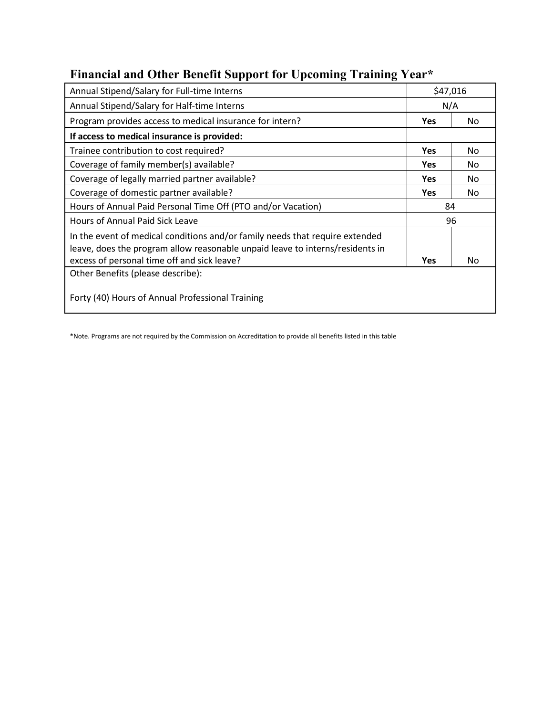| Annual Stipend/Salary for Full-time Interns                  | \$47,016   |     |
|--------------------------------------------------------------|------------|-----|
| Annual Stipend/Salary for Half-time Interns                  | N/A        |     |
| Program provides access to medical insurance for intern?     | <b>Yes</b> | No. |
| If access to medical insurance is provided:                  |            |     |
| Trainee contribution to cost required?                       | <b>Yes</b> | No. |
| Coverage of family member(s) available?                      | Yes        | No. |
| Coverage of legally married partner available?               | <b>Yes</b> | No. |
| Coverage of domestic partner available?                      | <b>Yes</b> | No. |
| Hours of Annual Paid Personal Time Off (PTO and/or Vacation) | 84         |     |

Hours of Annual Paid Sick Leave 1996

excess of personal time off and sick leave? **Yes** No

### **Financial and Other Benefit Support for Upcoming Training Year\***

\*Note. Programs are not required by the Commission on Accreditation to provide all benefits listed in this table

In the event of medical conditions and/or family needs that require extended leave, does the program allow reasonable unpaid leave to interns/residents in

Other Benefits (please describe):

Forty (40) Hours of Annual Professional Training